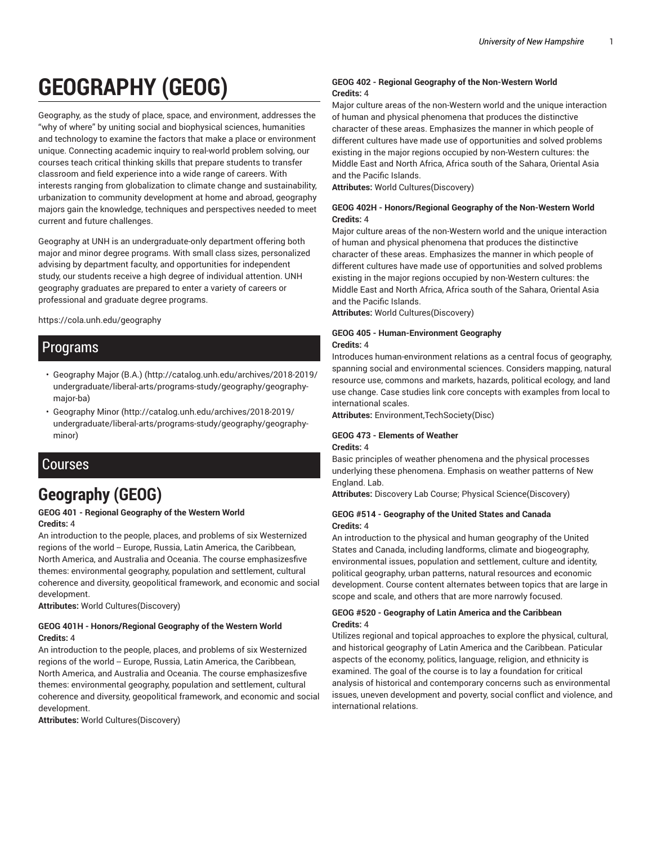# **GEOGRAPHY (GEOG)**

Geography, as the study of place, space, and environment, addresses the "why of where" by uniting social and biophysical sciences, humanities and technology to examine the factors that make a place or environment unique. Connecting academic inquiry to real-world problem solving, our courses teach critical thinking skills that prepare students to transfer classroom and field experience into a wide range of careers. With interests ranging from globalization to climate change and sustainability, urbanization to community development at home and abroad, geography majors gain the knowledge, techniques and perspectives needed to meet current and future challenges.

Geography at UNH is an undergraduate-only department offering both major and minor degree programs. With small class sizes, personalized advising by department faculty, and opportunities for independent study, our students receive a high degree of individual attention. UNH geography graduates are prepared to enter a variety of careers or professional and graduate degree programs.

https://cola.unh.edu/geography

## Programs

- Geography Major (B.A.) (http://catalog.unh.edu/archives/2018-2019/ undergraduate/liberal-arts/programs-study/geography/geographymajor-ba)
- Geography Minor (http://catalog.unh.edu/archives/2018-2019/ undergraduate/liberal-arts/programs-study/geography/geographyminor)

### Courses

## **Geography (GEOG)**

#### **GEOG 401 - Regional Geography of the Western World Credits:** 4

An introduction to the people, places, and problems of six Westernized regions of the world -- Europe, Russia, Latin America, the Caribbean, North America, and Australia and Oceania. The course emphasizesfive themes: environmental geography, population and settlement, cultural coherence and diversity, geopolitical framework, and economic and social development.

**Attributes:** World Cultures(Discovery)

#### **GEOG 401H - Honors/Regional Geography of the Western World Credits:** 4

An introduction to the people, places, and problems of six Westernized regions of the world -- Europe, Russia, Latin America, the Caribbean, North America, and Australia and Oceania. The course emphasizesfive themes: environmental geography, population and settlement, cultural coherence and diversity, geopolitical framework, and economic and social development.

**Attributes:** World Cultures(Discovery)

#### **GEOG 402 - Regional Geography of the Non-Western World Credits:** 4

Major culture areas of the non-Western world and the unique interaction of human and physical phenomena that produces the distinctive character of these areas. Emphasizes the manner in which people of different cultures have made use of opportunities and solved problems existing in the major regions occupied by non-Western cultures: the Middle East and North Africa, Africa south of the Sahara, Oriental Asia and the Pacific Islands.

**Attributes:** World Cultures(Discovery)

#### **GEOG 402H - Honors/Regional Geography of the Non-Western World Credits:** 4

Major culture areas of the non-Western world and the unique interaction of human and physical phenomena that produces the distinctive character of these areas. Emphasizes the manner in which people of different cultures have made use of opportunities and solved problems existing in the major regions occupied by non-Western cultures: the Middle East and North Africa, Africa south of the Sahara, Oriental Asia and the Pacific Islands.

**Attributes:** World Cultures(Discovery)

#### **GEOG 405 - Human-Environment Geography Credits:** 4

Introduces human-environment relations as a central focus of geography, spanning social and environmental sciences. Considers mapping, natural resource use, commons and markets, hazards, political ecology, and land use change. Case studies link core concepts with examples from local to international scales.

**Attributes:** Environment,TechSociety(Disc)

#### **GEOG 473 - Elements of Weather Credits:** 4

Basic principles of weather phenomena and the physical processes underlying these phenomena. Emphasis on weather patterns of New England. Lab.

**Attributes:** Discovery Lab Course; Physical Science(Discovery)

#### **GEOG #514 - Geography of the United States and Canada Credits:** 4

An introduction to the physical and human geography of the United States and Canada, including landforms, climate and biogeography, environmental issues, population and settlement, culture and identity, political geography, urban patterns, natural resources and economic development. Course content alternates between topics that are large in scope and scale, and others that are more narrowly focused.

#### **GEOG #520 - Geography of Latin America and the Caribbean Credits:** 4

Utilizes regional and topical approaches to explore the physical, cultural, and historical geography of Latin America and the Caribbean. Paticular aspects of the economy, politics, language, religion, and ethnicity is examined. The goal of the course is to lay a foundation for critical analysis of historical and contemporary concerns such as environmental issues, uneven development and poverty, social conflict and violence, and international relations.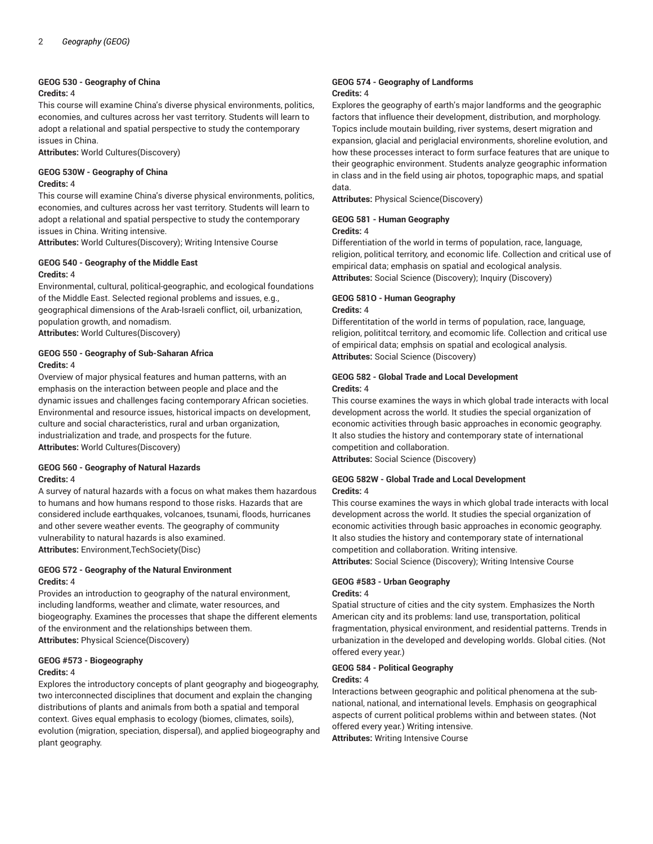#### **GEOG 530 - Geography of China**

#### **Credits:** 4

This course will examine China's diverse physical environments, politics, economies, and cultures across her vast territory. Students will learn to adopt a relational and spatial perspective to study the contemporary issues in China.

**Attributes:** World Cultures(Discovery)

#### **GEOG 530W - Geography of China Credits:** 4

This course will examine China's diverse physical environments, politics, economies, and cultures across her vast territory. Students will learn to adopt a relational and spatial perspective to study the contemporary issues in China. Writing intensive.

**Attributes:** World Cultures(Discovery); Writing Intensive Course

#### **GEOG 540 - Geography of the Middle East Credits:** 4

Environmental, cultural, political-geographic, and ecological foundations of the Middle East. Selected regional problems and issues, e.g., geographical dimensions of the Arab-Israeli conflict, oil, urbanization, population growth, and nomadism. **Attributes:** World Cultures(Discovery)

#### **GEOG 550 - Geography of Sub-Saharan Africa Credits:** 4

Overview of major physical features and human patterns, with an emphasis on the interaction between people and place and the dynamic issues and challenges facing contemporary African societies. Environmental and resource issues, historical impacts on development, culture and social characteristics, rural and urban organization, industrialization and trade, and prospects for the future. **Attributes:** World Cultures(Discovery)

#### **GEOG 560 - Geography of Natural Hazards Credits:** 4

A survey of natural hazards with a focus on what makes them hazardous to humans and how humans respond to those risks. Hazards that are considered include earthquakes, volcanoes, tsunami, floods, hurricanes and other severe weather events. The geography of community vulnerability to natural hazards is also examined. **Attributes:** Environment,TechSociety(Disc)

#### **GEOG 572 - Geography of the Natural Environment Credits:** 4

Provides an introduction to geography of the natural environment, including landforms, weather and climate, water resources, and biogeography. Examines the processes that shape the different elements of the environment and the relationships between them. **Attributes:** Physical Science(Discovery)

#### **GEOG #573 - Biogeography**

#### **Credits:** 4

Explores the introductory concepts of plant geography and biogeography, two interconnected disciplines that document and explain the changing distributions of plants and animals from both a spatial and temporal context. Gives equal emphasis to ecology (biomes, climates, soils), evolution (migration, speciation, dispersal), and applied biogeography and plant geography.

#### **GEOG 574 - Geography of Landforms Credits:** 4

Explores the geography of earth's major landforms and the geographic factors that influence their development, distribution, and morphology. Topics include moutain building, river systems, desert migration and expansion, glacial and periglacial environments, shoreline evolution, and how these processes interact to form surface features that are unique to their geographic environment. Students analyze geographic information in class and in the field using air photos, topographic maps, and spatial data.

**Attributes:** Physical Science(Discovery)

#### **GEOG 581 - Human Geography**

#### **Credits:** 4

Differentiation of the world in terms of population, race, language, religion, political territory, and economic life. Collection and critical use of empirical data; emphasis on spatial and ecological analysis. **Attributes:** Social Science (Discovery); Inquiry (Discovery)

## **GEOG 581O - Human Geography**

#### **Credits:** 4

Differentitation of the world in terms of population, race, language, religion, polititcal territory, and ecomomic life. Collection and critical use of empirical data; emphsis on spatial and ecological analysis. **Attributes:** Social Science (Discovery)

#### **GEOG 582 - Global Trade and Local Development Credits:** 4

This course examines the ways in which global trade interacts with local development across the world. It studies the special organization of economic activities through basic approaches in economic geography. It also studies the history and contemporary state of international competition and collaboration.

**Attributes:** Social Science (Discovery)

#### **GEOG 582W - Global Trade and Local Development Credits:** 4

This course examines the ways in which global trade interacts with local development across the world. It studies the special organization of economic activities through basic approaches in economic geography. It also studies the history and contemporary state of international competition and collaboration. Writing intensive. **Attributes:** Social Science (Discovery); Writing Intensive Course

## **GEOG #583 - Urban Geography**

#### **Credits:** 4

Spatial structure of cities and the city system. Emphasizes the North American city and its problems: land use, transportation, political fragmentation, physical environment, and residential patterns. Trends in urbanization in the developed and developing worlds. Global cities. (Not offered every year.)

#### **GEOG 584 - Political Geography Credits:** 4

Interactions between geographic and political phenomena at the subnational, national, and international levels. Emphasis on geographical aspects of current political problems within and between states. (Not offered every year.) Writing intensive.

**Attributes:** Writing Intensive Course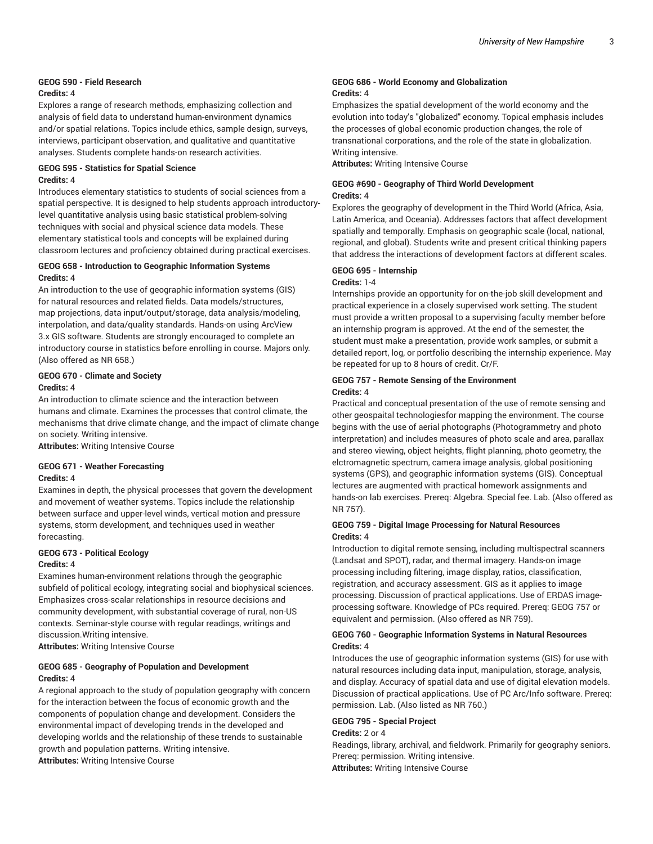## **GEOG 590 - Field Research**

#### **Credits:** 4

Explores a range of research methods, emphasizing collection and analysis of field data to understand human-environment dynamics and/or spatial relations. Topics include ethics, sample design, surveys, interviews, participant observation, and qualitative and quantitative analyses. Students complete hands-on research activities.

#### **GEOG 595 - Statistics for Spatial Science Credits:** 4

Introduces elementary statistics to students of social sciences from a spatial perspective. It is designed to help students approach introductorylevel quantitative analysis using basic statistical problem-solving techniques with social and physical science data models. These elementary statistical tools and concepts will be explained during classroom lectures and proficiency obtained during practical exercises.

#### **GEOG 658 - Introduction to Geographic Information Systems Credits:** 4

An introduction to the use of geographic information systems (GIS) for natural resources and related fields. Data models/structures, map projections, data input/output/storage, data analysis/modeling, interpolation, and data/quality standards. Hands-on using ArcView 3.x GIS software. Students are strongly encouraged to complete an introductory course in statistics before enrolling in course. Majors only. (Also offered as NR 658.)

#### **GEOG 670 - Climate and Society Credits:** 4

An introduction to climate science and the interaction between humans and climate. Examines the processes that control climate, the mechanisms that drive climate change, and the impact of climate change on society. Writing intensive.

**Attributes:** Writing Intensive Course

#### **GEOG 671 - Weather Forecasting Credits:** 4

Examines in depth, the physical processes that govern the development and movement of weather systems. Topics include the relationship between surface and upper-level winds, vertical motion and pressure systems, storm development, and techniques used in weather forecasting.

#### **GEOG 673 - Political Ecology**

#### **Credits:** 4

Examines human-environment relations through the geographic subfield of political ecology, integrating social and biophysical sciences. Emphasizes cross-scalar relationships in resource decisions and community development, with substantial coverage of rural, non-US contexts. Seminar-style course with regular readings, writings and discussion.Writing intensive.

**Attributes:** Writing Intensive Course

#### **GEOG 685 - Geography of Population and Development Credits:** 4

A regional approach to the study of population geography with concern for the interaction between the focus of economic growth and the components of population change and development. Considers the environmental impact of developing trends in the developed and developing worlds and the relationship of these trends to sustainable growth and population patterns. Writing intensive. **Attributes:** Writing Intensive Course

#### **GEOG 686 - World Economy and Globalization Credits:** 4

Emphasizes the spatial development of the world economy and the evolution into today's "globalized" economy. Topical emphasis includes the processes of global economic production changes, the role of transnational corporations, and the role of the state in globalization. Writing intensive.

**Attributes:** Writing Intensive Course

#### **GEOG #690 - Geography of Third World Development Credits:** 4

Explores the geography of development in the Third World (Africa, Asia, Latin America, and Oceania). Addresses factors that affect development spatially and temporally. Emphasis on geographic scale (local, national, regional, and global). Students write and present critical thinking papers that address the interactions of development factors at different scales.

#### **GEOG 695 - Internship**

#### **Credits:** 1-4

Internships provide an opportunity for on-the-job skill development and practical experience in a closely supervised work setting. The student must provide a written proposal to a supervising faculty member before an internship program is approved. At the end of the semester, the student must make a presentation, provide work samples, or submit a detailed report, log, or portfolio describing the internship experience. May be repeated for up to 8 hours of credit. Cr/F.

#### **GEOG 757 - Remote Sensing of the Environment Credits:** 4

Practical and conceptual presentation of the use of remote sensing and other geospaital technologiesfor mapping the environment. The course begins with the use of aerial photographs (Photogrammetry and photo interpretation) and includes measures of photo scale and area, parallax and stereo viewing, object heights, flight planning, photo geometry, the elctromagnetic spectrum, camera image analysis, global positioning systems (GPS), and geographic information systems (GIS). Conceptual lectures are augmented with practical homework assignments and hands-on lab exercises. Prereq: Algebra. Special fee. Lab. (Also offered as NR 757).

#### **GEOG 759 - Digital Image Processing for Natural Resources Credits:** 4

Introduction to digital remote sensing, including multispectral scanners (Landsat and SPOT), radar, and thermal imagery. Hands-on image processing including filtering, image display, ratios, classification, registration, and accuracy assessment. GIS as it applies to image processing. Discussion of practical applications. Use of ERDAS imageprocessing software. Knowledge of PCs required. Prereq: GEOG 757 or equivalent and permission. (Also offered as NR 759).

#### **GEOG 760 - Geographic Information Systems in Natural Resources Credits:** 4

Introduces the use of geographic information systems (GIS) for use with natural resources including data input, manipulation, storage, analysis, and display. Accuracy of spatial data and use of digital elevation models. Discussion of practical applications. Use of PC Arc/Info software. Prereq: permission. Lab. (Also listed as NR 760.)

#### **GEOG 795 - Special Project**

#### **Credits:** 2 or 4

Readings, library, archival, and fieldwork. Primarily for geography seniors. Prereq: permission. Writing intensive. **Attributes:** Writing Intensive Course